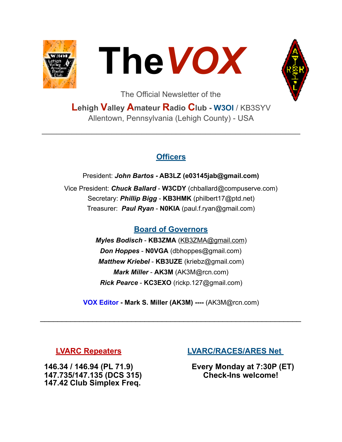



The Official Newsletter of the

# **Lehigh Valley Amateur Radio Club - W3OI** / KB3SYV Allentown, Pennsylvania (Lehigh County) - USA

 $\mathcal{L}_\text{max}$  , and the contribution of the contribution of the contribution of the contribution of the contribution of the contribution of the contribution of the contribution of the contribution of the contribution of t

## **Officers**

President: *John Bartos* **- AB3LZ ([e03145jab@gmail.com](mailto:e03145jab@gmail.com))**  Vice President: *Chuck Ballard* - **W3CDY** ([chballard@compuserve.com](mailto:chballard@compuserve.com)) Secretary: *Phillip Bigg* - **KB3HMK** [\(philbert17@ptd.net](mailto:philbert17@ptd.net)) Treasurer: *Paul Ryan* - **N0KIA** [\(paul.f.ryan@gmail.com](mailto:paul.f.ryan@gmail.com))

# **Board of Governors**

*Myles Bodisch* - **KB3ZMA** [\(KB3ZMA@gmail.com](mailto:KB3ZMA@gmail.com)) *Don Hoppes* - **N0VGA** [\(dbhoppes@gmail.com\)](mailto:dbhoppes@gmail.com) *Matthew Kriebel* - **KB3UZE** [\(kriebz@gmail.com](mailto:kriebz@gmail.com)) *Mark Miller* - **AK3M** ([AK3M@rcn.com](mailto:AK3M@rcn.com)) *Rick Pearce* - **KC3EXO** [\(rickp.127@gmail.com](mailto:rickp.127@gmail.com))

**VOX Editor - Mark S. Miller (AK3M) ----** (AK3M@rcn.com)

 $\mathcal{L}_\text{max}$  , and the contract of the contract of the contract of the contract of the contract of the contract of the contract of the contract of the contract of the contract of the contract of the contract of the contr

 **147.735/147.135 (DCS 315) 147.42 Club Simplex Freq.** 

#### **LVARC Repeaters LVARC/RACES/ARES Net**

**146.34 / 146.94 (PL 71.9) Every Monday at 7:30P (ET)**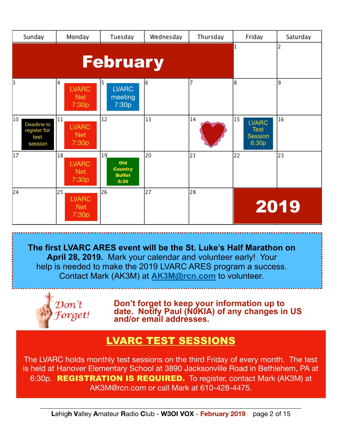| Sunday                                               | Monday                                    | Tuesday                                              | Wednesday | Thursday | Friday                                                       | Saturday |
|------------------------------------------------------|-------------------------------------------|------------------------------------------------------|-----------|----------|--------------------------------------------------------------|----------|
|                                                      | <b>February</b>                           | $\mathbf{1}$                                         | 2         |          |                                                              |          |
| 3                                                    | 4<br><b>LVARC</b><br><b>Net</b><br>7:30p  | 5<br><b>LVARC</b><br>meeting<br>7:30p                | 6         | 7        | 8                                                            | 9        |
| 10<br>Deadline to<br>register for<br>test<br>session | 11<br><b>LVARC</b><br><b>Net</b><br>7:30p | 12                                                   | 13        | 14       | 15<br><b>LVARC</b><br><b>Test</b><br><b>Session</b><br>6:30p | 16       |
| 17                                                   | 18<br><b>LVARC</b><br><b>Net</b><br>7:30p | 19<br>Old<br><b>Country</b><br><b>Buffet</b><br>6:30 | 20        | 21       | 22                                                           | 23       |
| 24                                                   | 25<br><b>LVARC</b><br><b>Net</b><br>7:30p | 26                                                   | 27        | 28       |                                                              | 2019     |

**The first LVARC ARES event will be the St. Luke's Half Marathon on April 28, 2019.** Mark your calendar and volunteer early! Your help is needed to make the 2019 LVARC ARES program a success. Contact Mark (AK3M) at **[AK3M@rcn.com](mailto:AK3M@rcn.com)** to volunteer.



**Don't forget to keep your information up to date. Notify Paul (N0KIA) of any changes in US and/or email addresses.**

# LVARC TEST SESSIONS

The LVARC holds monthly test sessions on the third Friday of every month. The test is held at Hanover Elementary School at 3890 Jacksonville Road in Bethlehem, PA at 6:30p. REGISTRATION IS REQUIRED. To register, contact Mark (AK3M) at [AK3M@rcn.com](mailto:AK3M@rcn.com) or call Mark at 610-428-4475.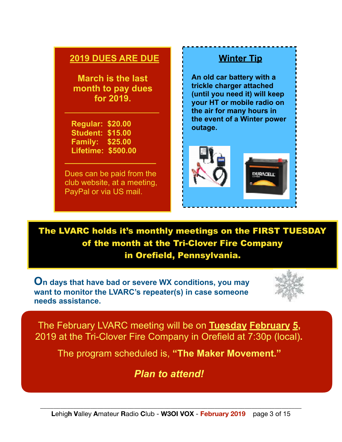## **2019 DUES ARE DUE**

**March is the last month to pay dues for 2019.** 

 $\overline{\phantom{a}}$  , and the set of the set of the set of the set of the set of the set of the set of the set of the set of the set of the set of the set of the set of the set of the set of the set of the set of the set of the s

 **Regular: \$20.00 Student: \$15.00 Family: \$25.00 Lifetime: \$500.00** 

Dues can be paid from the club website, at a meeting, PayPal or via US mail.

**\_\_\_\_\_\_\_\_\_\_\_\_\_\_\_\_\_\_\_\_\_** 

**An old car battery with a trickle charger attached (until you need it) will keep your HT or mobile radio on the air for many hours in the event of a Winter power outage.** 

 **Winter Tip** 



The LVARC holds it's monthly meetings on the FIRST TUESDAY of the month at the Tri-Clover Fire Company in Orefield, Pennsylvania.

**On days that have bad or severe WX conditions, you may want to monitor the LVARC's repeater(s) in case someone needs assistance.**



The February LVARC meeting will be on **Tuesday February 5,**  2019 at the Tri-Clover Fire Company in Orefield at 7:30p (local)**.** 

The program scheduled is, **"The Maker Movement."** 

*Plan to attend!*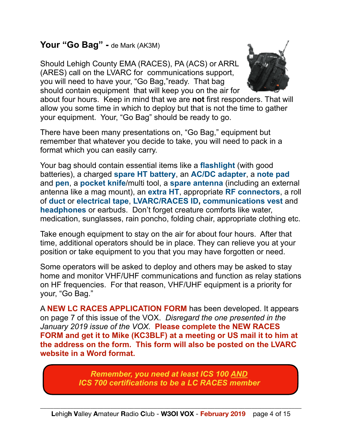# Your "Go Bag" - de Mark (AK3M)

Should Lehigh County EMA (RACES), PA (ACS) or ARRL (ARES) call on the LVARC for communications support, you will need to have your, "Go Bag,"ready. That bag should contain equipment that will keep you on the air for



about four hours. Keep in mind that we are **not** first responders. That will allow you some time in which to deploy but that is not the time to gather your equipment. Your, "Go Bag" should be ready to go.

There have been many presentations on, "Go Bag," equipment but remember that whatever you decide to take, you will need to pack in a format which you can easily carry.

Your bag should contain essential items like a **flashlight** (with good batteries), a charged **spare HT battery**, an **AC/DC adapter**, a **note pad** and **pen**, a **pocket knife**/multi tool, a **spare antenna** (including an external antenna like a mag mount), an **extra HT**, appropriate **RF connectors**, a roll of **duct** or **electrical tape**, **LVARC/RACES ID, communications vest** and **headphones** or earbuds. Don't forget creature comforts like water, medication, sunglasses, rain poncho, folding chair, appropriate clothing etc.

Take enough equipment to stay on the air for about four hours. After that time, additional operators should be in place. They can relieve you at your position or take equipment to you that you may have forgotten or need.

Some operators will be asked to deploy and others may be asked to stay home and monitor VHF/UHF communications and function as relay stations on HF frequencies. For that reason, VHF/UHF equipment is a priority for your, "Go Bag."

A **NEW LC RACES APPLICATION FORM** has been developed. It appears on page 7 of this issue of the VOX. *Disregard the one presented in the January 2019 issue of the VOX.* **Please complete the NEW RACES FORM and get it to Mike (KC3BLF) at a meeting or US mail it to him at the address on the form. This form will also be posted on the LVARC website in a Word format.**

> *Remember, you need at least ICS 100 AND ICS 700 certifications to be a LC RACES member*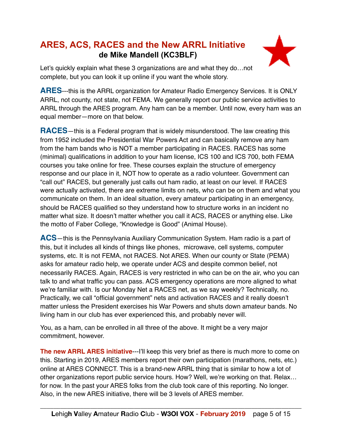# **ARES, ACS, RACES and the New ARRL Initiative de Mike Mandell (KC3BLF)**



Let's quickly explain what these 3 organizations are and what they do…not complete, but you can look it up online if you want the whole story.

**ARES**---this is the ARRL organization for Amateur Radio Emergency Services. It is ONLY ARRL, not county, not state, not FEMA. We generally report our public service activities to ARRL through the ARES program. Any ham can be a member. Until now, every ham was an equal member—more on that below.

**RACES**—this is a Federal program that is widely misunderstood. The law creating this from 1952 included the Presidential War Powers Act and can basically remove any ham from the ham bands who is NOT a member participating in RACES. RACES has some (minimal) qualifications in addition to your ham license, ICS 100 and ICS 700, both FEMA courses you take online for free. These courses explain the structure of emergency response and our place in it, NOT how to operate as a radio volunteer. Government can "call out" RACES, but generally just calls out ham radio, at least on our level. If RACES were actually activated, there are extreme limits on nets, who can be on them and what you communicate on them. In an ideal situation, every amateur participating in an emergency, should be RACES qualified so they understand how to structure works in an incident no matter what size. It doesn't matter whether you call it ACS, RACES or anything else. Like the motto of Faber College, "Knowledge is Good" (Animal House).

**ACS**—this is the Pennsylvania Auxiliary Communication System. Ham radio is a part of this, but it includes all kinds of things like phones, microwave, cell systems, computer systems, etc. It is not FEMA, not RACES. Not ARES. When our county or State (PEMA) asks for amateur radio help, we operate under ACS and despite common belief, not necessarily RACES. Again, RACES is very restricted in who can be on the air, who you can talk to and what traffic you can pass. ACS emergency operations are more aligned to what we're familiar with. Is our Monday Net a RACES net, as we say weekly? Technically, no. Practically, we call "official government" nets and activation RACES and it really doesn't matter unless the President exercises his War Powers and shuts down amateur bands. No living ham in our club has ever experienced this, and probably never will.

You, as a ham, can be enrolled in all three of the above. It might be a very major commitment, however.

**The new ARRL ARES initiative---I'll keep this very brief as there is much more to come on** this. Starting in 2019, ARES members report their own participation (marathons, nets, etc.) online at ARES CONNECT. This is a brand-new ARRL thing that is similar to how a lot of other organizations report public service hours. How? Well, we're working on that. Relax… for now. In the past your ARES folks from the club took care of this reporting. No longer. Also, in the new ARES initiative, there will be 3 levels of ARES member.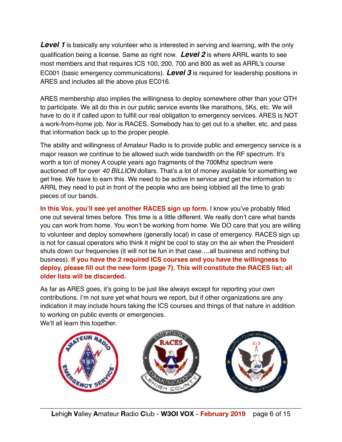**Level 1** is basically any volunteer who is interested in serving and learning, with the only qualification being a license. Same as right now. *Level 2* is where ARRL wants to see most members and that requires ICS 100, 200, 700 and 800 as well as ARRL's course EC001 (basic emergency communications). *Level 3* is required for leadership positions in ARES and includes all the above plus EC016.

ARES membership also implies the willingness to deploy somewhere other than your QTH to participate. We all do this in our public service events like marathons, 5Ks, etc. We will have to do it if called upon to fulfill our real obligation to emergency services. ARES is NOT a work-from-home job. Nor is RACES. Somebody has to get out to a shelter, etc. and pass that information back up to the proper people.

The ability and willingness of Amateur Radio is to provide public and emergency service is a major reason we continue to be allowed such wide bandwidth on the RF spectrum. It's worth a ton of money A couple years ago fragments of the 700Mhz spectrum were auctioned off for over *40 BILLION* dollars. That's a lot of money available for something we get free. We have to earn this. We need to be active in service and get the information to ARRL they need to put in front of the people who are being lobbied all the time to grab pieces of our bands.

**In this Vox, you'll see yet another RACES sign up form.** I know you've probably filled one out several times before. This time is a little different. We really don't care what bands you can work from home. You won't be working from home. We DO care that you are willing to volunteer and deploy somewhere (generally local) in case of emergency. RACES sign up is not for casual operators who think it might be cool to stay on the air when the President shuts down our frequencies (it will not be fun in that case….all business and nothing but business). **If you have the 2 required ICS courses and you have the willingness to deploy, please fill out the new form (page 7). This will constitute the RACES list; all older lists will be discarded.**

As far as ARES goes, it's going to be just like always except for reporting your own contributions. I'm not sure yet what hours we report, but if other organizations are any indication it may include hours taking the ICS courses and things of that nature in addition to working on public events or emergencies.

We'll all learn this together.

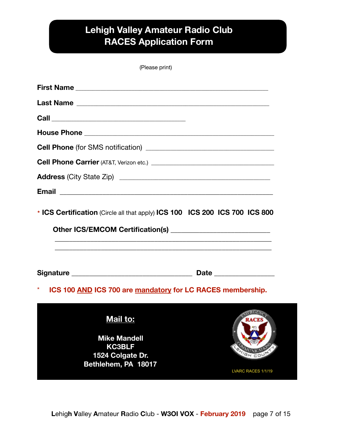# **Lehigh Valley Amateur Radio Club RACES Application Form**

| (Please print) |  |
|----------------|--|
|----------------|--|

| * ICS Certification (Circle all that apply) ICS 100 ICS 200 ICS 700 ICS 800 |                    |
|-----------------------------------------------------------------------------|--------------------|
|                                                                             |                    |
| *<br>ICS 100 AND ICS 700 are mandatory for LC RACES membership.             |                    |
| Mail to:                                                                    |                    |
| <b>Mike Mandell</b><br><b>KC3BLF</b>                                        |                    |
| 1524 Colgate Dr.                                                            |                    |
| Bethlehem, PA 18017                                                         | LVARC RACES 1/1/19 |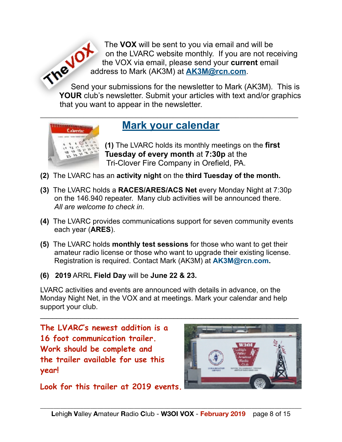The **VOX** will be sent to you via email and will be ON on the LVARC website monthly. If you are not receiving<br>the VOX via email, please send your current on the<br>send is send to Mark (AK3M) at AK3M. the VOX via email, please send your **current** email address to Mark (AK3M) at **[AK3M@rcn.com](mailto:AK3M@rcn.com)**.

Send your submissions for the newsletter to Mark (AK3M). This is **YOUR** club's newsletter. Submit your articles with text and/or graphics that you want to appear in the newsletter.



# $\overline{\phantom{a}}$  , and the contract of the contract of the contract of the contract of the contract of the contract of the contract of the contract of the contract of the contract of the contract of the contract of the contrac **Mark your calendar**

 **(1)** The LVARC holds its monthly meetings on the **first Tuesday of every month** at **7:30p** at the Tri-Clover Fire Company in Orefield, PA.

- **(2)** The LVARC has an **activity night** on the **third Tuesday of the month.**
- **(3)** The LVARC holds a **RACES/ARES/ACS Net** every Monday Night at 7:30p on the 146.940 repeater. Many club activities will be announced there. *All are welcome to check in*.
- **(4)** The LVARC provides communications support for seven community events each year (**ARES**).
- **(5)** The LVARC holds **monthly test sessions** for those who want to get their amateur radio license or those who want to upgrade their existing license. Registration is required. Contact Mark (AK3M) at **AK3M@rcn.com.**
- **(6) 2019** ARRL **Field Day** will be **June 22 & 23.**

LVARC activities and events are announced with details in advance, on the Monday Night Net, in the VOX and at meetings. Mark your calendar and help support your club.

 $\overline{\phantom{a}}$  , and the contribution of the contribution of the contribution of the contribution of  $\overline{\phantom{a}}$ 

**The LVARC's newest addition is a 16 foot communication trailer. Work should be complete and the trailer available for use this year!** 



**Look for this trailer at 2019 events.**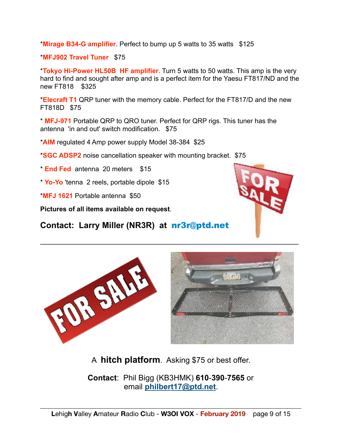\***Mirage B34-G amplifier**. Perfect to bump up 5 watts to 35 watts \$125

\***MFJ902 Travel Tuner** \$75

\***Tokyo Hi-Power HL50B HF amplifier**. Turn 5 watts to 50 watts. This amp is the very hard to find and sought after amp and is a perfect item for the Yaesu FT817/ND and the new FT818 \$325

\***Elecraft T1** QRP tuner with the memory cable. Perfect for the FT817/D and the new FT818D \$75

\* **MFJ-971** Portable QRP to QRO tuner. Perfect for QRP rigs. This tuner has the antenna 'in and out' switch modification. \$75

\***AIM** regulated 4 Amp power supply Model 38-384 \$25

\***SGC ADSP2** noise cancellation speaker with mounting bracket. \$75

\* **End Fed** antenna 20 meters \$15

\* **Yo-Yo** 'tenna 2 reels, portable dipole \$15

\***MFJ 1621** Portable antenna \$50

**Pictures of all items available on request**.

OR SAL

**Contact: Larry Miller (NR3R) at** nr3r@ptd.net



A **hitch platform**. Asking \$75 or best offer.

**Contact**: Phil Bigg (KB3HMK) **610**-**390**-**7565** or email **[philbert17@ptd.net](mailto:philbert17@ptd.net)**.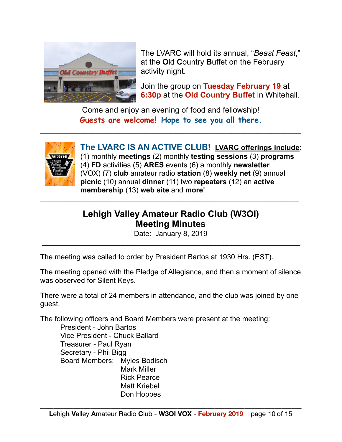

 The LVARC will hold its annual, "*Beast Feast*," at the **O**ld **C**ountry **B**uffet on the February

 Join the group on **Tuesday February 19** at **6:30p** at the **Old Country Buffet** in Whitehall.

Come and enjoy an evening of food and fellowship! **Guests are welcome! Hope to see you all there.** 

 $\mathcal{L}_\text{max}$  , and the contract of the contract of the contract of the contract of the contract of the contract of the contract of the contract of the contract of the contract of the contract of the contract of the contr



 **The LVARC IS AN ACTIVE CLUB! LVARC offerings include**: (1) monthly **meetings** (2) monthly **testing sessions** (3) **programs** (4) **FD** activities (5) **ARES** events (6) a monthly **newsletter** (VOX) (7) **club** amateur radio **station** (8) **weekly net** (9) annual **picnic** (10) annual **dinner** (11) two **repeaters** (12) an **active membership** (13) **web site** and **more**!  $\overline{\phantom{a}}$  , and the contribution of the contribution of the contribution of the contribution of  $\overline{\phantom{a}}$ 

# **Lehigh Valley Amateur Radio Club (W3OI) Meeting Minutes**

Date: January 8, 2019 \_\_\_\_\_\_\_\_\_\_\_\_\_\_\_\_\_\_\_\_\_\_\_\_\_\_\_\_\_\_\_\_\_\_\_\_\_\_\_\_\_\_\_\_\_\_\_\_\_\_\_\_\_\_\_\_\_\_\_\_\_\_\_\_

The meeting was called to order by President Bartos at 1930 Hrs. (EST).

The meeting opened with the Pledge of Allegiance, and then a moment of silence was observed for Silent Keys.

There were a total of 24 members in attendance, and the club was joined by one guest.

The following officers and Board Members were present at the meeting:

 President - John Bartos Vice President - Chuck Ballard Treasurer - Paul Ryan Secretary - Phil Bigg Board Members: Myles Bodisch Mark Miller Rick Pearce Matt Kriebel Don Hoppes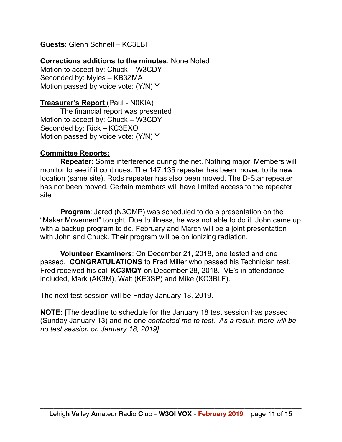**Guests**: Glenn Schnell – KC3LBI

#### **Corrections additions to the minutes**: None Noted

Motion to accept by: Chuck – W3CDY Seconded by: Myles – KB3ZMA Motion passed by voice vote: (Y/N) Y

#### **Treasurer's Report** (Paul - N0KIA)

 The financial report was presented Motion to accept by: Chuck – W3CDY Seconded by: Rick – KC3EXO Motion passed by voice vote: (Y/N) Y

#### **Committee Reports:**

**Repeater**: Some interference during the net. Nothing major. Members will monitor to see if it continues. The 147.135 repeater has been moved to its new location (same site). Rods repeater has also been moved. The D-Star repeater has not been moved. Certain members will have limited access to the repeater site.

**Program**: Jared (N3GMP) was scheduled to do a presentation on the "Maker Movement" tonight. Due to illness, he was not able to do it. John came up with a backup program to do. February and March will be a joint presentation with John and Chuck. Their program will be on ionizing radiation.

**Volunteer Examiners**: On December 21, 2018, one tested and one passed. **CONGRATULATIONS** to Fred Miller who passed his Technician test. Fred received his call **KC3MQY** on December 28, 2018. VE's in attendance included, Mark (AK3M), Walt (KE3SP) and Mike (KC3BLF).

The next test session will be Friday January 18, 2019.

**NOTE:** [The deadline to schedule for the January 18 test session has passed (Sunday January 13) and no one *contacted me to test. As a result, there will be no test session on January 18, 2019].*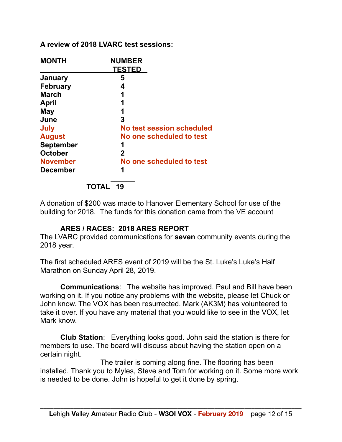#### **A review of 2018 LVARC test sessions:**

| <b>MONTH</b>     | <b>NUMBER</b>             |
|------------------|---------------------------|
|                  | <b>TESTED</b>             |
| January          | 5                         |
| <b>February</b>  | 4                         |
| <b>March</b>     | 1                         |
| April            | 1                         |
| May              | 1                         |
| June             | 3                         |
| July             | No test session scheduled |
| <b>August</b>    | No one scheduled to test  |
| <b>September</b> | 1                         |
| <b>October</b>   | 2                         |
| <b>November</b>  | No one scheduled to test  |
| <b>December</b>  | 1                         |
|                  | $\ddot{\phantom{1}}$      |

 **TOTAL 19**

A donation of \$200 was made to Hanover Elementary School for use of the building for 2018. The funds for this donation came from the VE account

#### **ARES / RACES: 2018 ARES REPORT**

The LVARC provided communications for **seven** community events during the 2018 year.

The first scheduled ARES event of 2019 will be the St. Luke's Luke's Half Marathon on Sunday April 28, 2019.

**Communications**: The website has improved. Paul and Bill have been working on it. If you notice any problems with the website, please let Chuck or John know. The VOX has been resurrected. Mark (AK3M) has volunteered to take it over. If you have any material that you would like to see in the VOX, let Mark know.

**Club Station**: Everything looks good. John said the station is there for members to use. The board will discuss about having the station open on a certain night.

 The trailer is coming along fine. The flooring has been installed. Thank you to Myles, Steve and Tom for working on it. Some more work is needed to be done. John is hopeful to get it done by spring.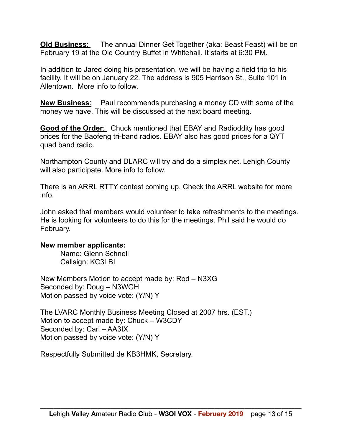**Old Business**: The annual Dinner Get Together (aka: Beast Feast) will be on February 19 at the Old Country Buffet in Whitehall. It starts at 6:30 PM.

In addition to Jared doing his presentation, we will be having a field trip to his facility. It will be on January 22. The address is 905 Harrison St., Suite 101 in Allentown. More info to follow.

**New Business**: Paul recommends purchasing a money CD with some of the money we have. This will be discussed at the next board meeting.

**Good of the Order**: Chuck mentioned that EBAY and Radioddity has good prices for the Baofeng tri-band radios. EBAY also has good prices for a QYT quad band radio.

Northampton County and DLARC will try and do a simplex net. Lehigh County will also participate. More info to follow.

There is an ARRL RTTY contest coming up. Check the ARRL website for more info.

John asked that members would volunteer to take refreshments to the meetings. He is looking for volunteers to do this for the meetings. Phil said he would do February.

#### **New member applicants:**

 Name: Glenn Schnell Callsign: KC3LBI

New Members Motion to accept made by: Rod – N3XG Seconded by: Doug – N3WGH Motion passed by voice vote: (Y/N) Y

The LVARC Monthly Business Meeting Closed at 2007 hrs. (EST.) Motion to accept made by: Chuck – W3CDY Seconded by: Carl – AA3IX Motion passed by voice vote: (Y/N) Y

Respectfully Submitted de KB3HMK, Secretary.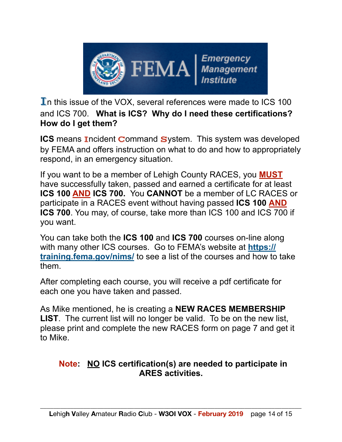

 $\mathbf I$  this issue of the VOX, several references were made to ICS 100 and ICS 700. **What is ICS? Why do I need these certifications? How do I get them?** 

**ICS** means Incident Command System. This system was developed by FEMA and offers instruction on what to do and how to appropriately respond, in an emergency situation.

If you want to be a member of Lehigh County RACES, you **MUST** have successfully taken, passed and earned a certificate for at least **ICS 100 AND ICS 700.** You **CANNOT** be a member of LC RACES or participate in a RACES event without having passed **ICS 100 AND ICS 700**. You may, of course, take more than ICS 100 and ICS 700 if you want.

You can take both the **ICS 100** and **ICS 700** courses on-line along with many other ICS courses. Go to FEMA's website at **https:// training.fema.gov/nims/** to see a list of the courses and how to take them.

After completing each course, you will receive a pdf certificate for each one you have taken and passed.

As Mike mentioned, he is creating a **NEW RACES MEMBERSHIP LIST**. The current list will no longer be valid. To be on the new list, please print and complete the new RACES form on page 7 and get it to Mike.

### **Note: NO ICS certification(s) are needed to participate in ARES activities.**